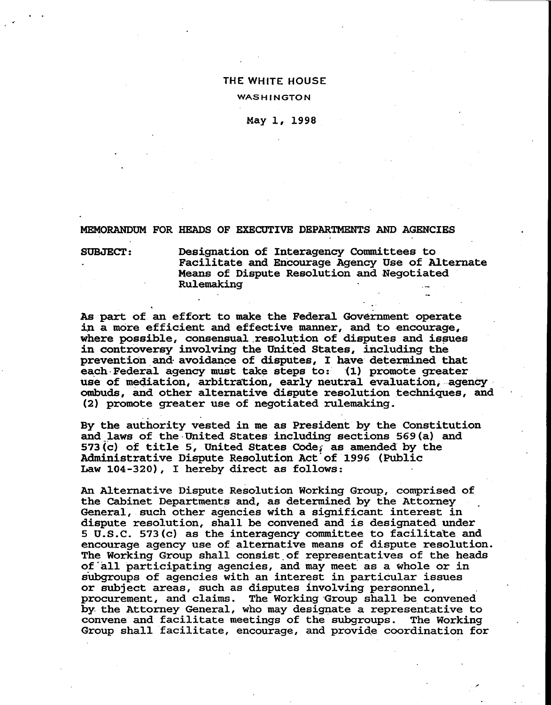## **THE WHITE HOUSE**

## **WASHINGTON**

May 1, 1998

MEMORANDUM FOR HEADS OF EXECUTIVE DEPARTMENTS AND AGENCIES

SUBJECT: Designation of Interagency Committees to Facilitate and Encourage Agency Use of Alternate Means of Dispute Resolution and Negotiated Rulemaking .\_ .

As part of an effort to make the Federal Government operate in a more efficient and effective manner, and to encourage, where possible, consensual resolution of disputes and issues in controversy involving the United States, including the prevention and avoidance of disputes, I have determined that each Federal agency must take steps to: (1) promote greater use of mediation, arbitration, early neutral evaluation, agency ombuds, and other alternative dispute resolution techniques, and (2) promote greater use of negotiated rulemaking.

By the authority vested in me as President by the Constitution and laws of the United States including sections 569(a) and 573 (c) of title 5, United States Code, as amended by the Administrative Dispute Resolution Act of 1996 (Public Law 104-320), I hereby direct as follows:

An Alternative Dispute Resolution Working Group, comprised of the Cabinet Departments and, as determined by the Attorney General, such other agencies with a significant interest in dispute resolution, shall be convened and is designated under 5 U.S.C. 573(c) as the interagency committee to facilitate and encourage agency use of alternative means of dispute resolution. The Working Group shall consist of representatives of the heads of all participating agencies, and may meet as a whole or in subgroups of agencies with an interest in particular issues or subject areas, such as disputes involving personnel, procurement, and claims. The Working Group shall be convened by the Attorney General, who may designate a representative to convene and facilitate meetings of the subgroups. The Working Group shall facilitate, encourage, and provide coordination for